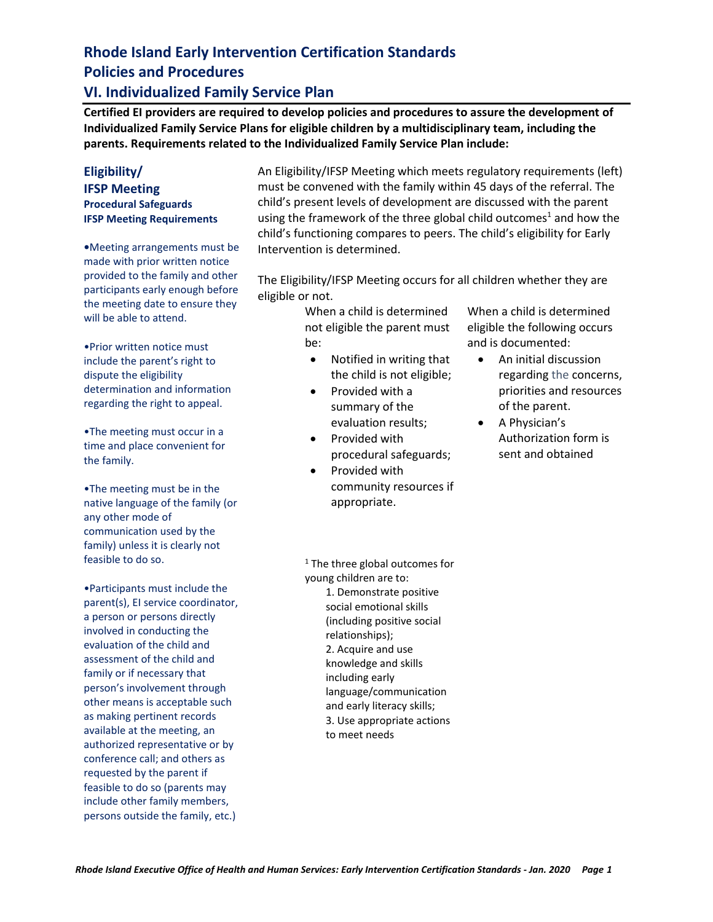#### **VI. Individualized Family Service Plan**

**Certified EI providers are required to develop policies and procedures to assure the development of Individualized Family Service Plans for eligible children by a multidisciplinary team, including the parents. Requirements related to the Individualized Family Service Plan include:** 

#### **Eligibility/ IFSP Meeting Procedural Safeguards IFSP Meeting Requirements**

**•**Meeting arrangements must be made with prior written notice provided to the family and other participants early enough before the meeting date to ensure they will be able to attend.

•Prior written notice must include the parent's right to dispute the eligibility determination and information regarding the right to appeal.

•The meeting must occur in a time and place convenient for the family.

•The meeting must be in the native language of the family (or any other mode of communication used by the family) unless it is clearly not feasible to do so.

•Participants must include the parent(s), EI service coordinator, a person or persons directly involved in conducting the evaluation of the child and assessment of the child and family or if necessary that person's involvement through other means is acceptable such as making pertinent records available at the meeting, an authorized representative or by conference call; and others as requested by the parent if feasible to do so (parents may include other family members, persons outside the family, etc.)

An Eligibility/IFSP Meeting which meets regulatory requirements (left) must be convened with the family within 45 days of the referral. The child's present levels of development are discussed with the parent using the framework of the three global child outcomes<sup>1</sup> and how the child's functioning compares to peers. The child's eligibility for Early Intervention is determined.

The Eligibility/IFSP Meeting occurs for all children whether they are eligible or not.

> When a child is determined not eligible the parent must be:

- Notified in writing that the child is not eligible;
- Provided with a summary of the evaluation results;
- Provided with procedural safeguards;
- Provided with community resources if appropriate.

When a child is determined eligible the following occurs and is documented:

- An initial discussion regarding the concerns, priorities and resources of the parent.
- A Physician's Authorization form is sent and obtained

 $1$  The three global outcomes for young children are to: 1. Demonstrate positive social emotional skills (including positive social relationships); 2. Acquire and use knowledge and skills including early language/communication and early literacy skills; 3. Use appropriate actions to meet needs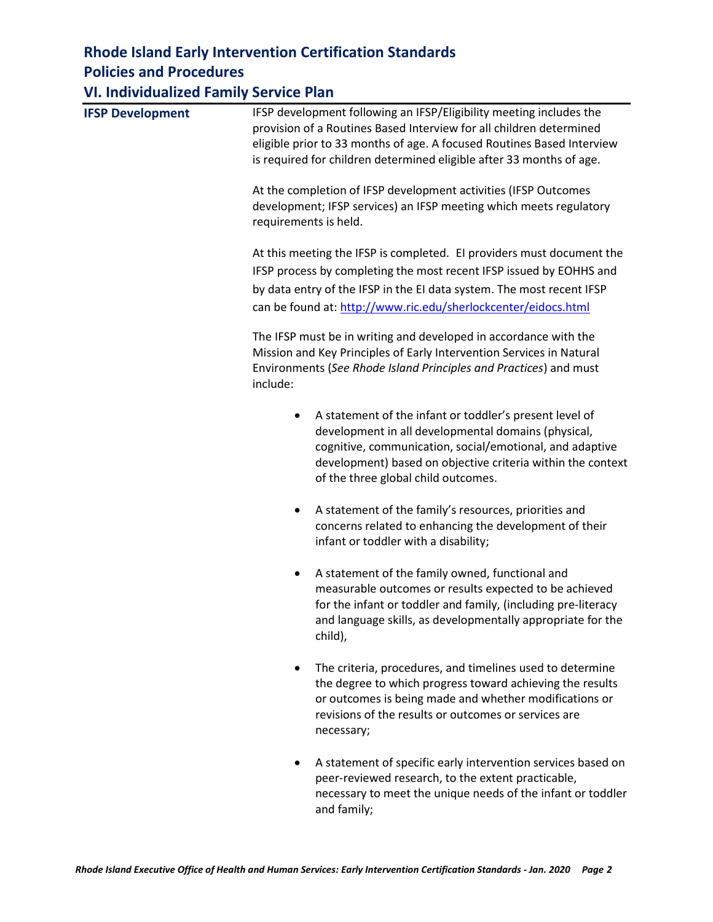#### **VI. Individualized Family Service Plan**

| <b>IFSP Development</b> | IFSP development following an IFSP/Eligibility meeting includes the<br>provision of a Routines Based Interview for all children determined<br>eligible prior to 33 months of age. A focused Routines Based Interview<br>is required for children determined eligible after 33 months of age.  |
|-------------------------|-----------------------------------------------------------------------------------------------------------------------------------------------------------------------------------------------------------------------------------------------------------------------------------------------|
|                         | At the completion of IFSP development activities (IFSP Outcomes<br>development; IFSP services) an IFSP meeting which meets regulatory<br>requirements is held.                                                                                                                                |
|                         | At this meeting the IFSP is completed. El providers must document the<br>IFSP process by completing the most recent IFSP issued by EOHHS and<br>by data entry of the IFSP in the EI data system. The most recent IFSP<br>can be found at: http://www.ric.edu/sherlockcenter/eidocs.html       |
|                         | The IFSP must be in writing and developed in accordance with the<br>Mission and Key Principles of Early Intervention Services in Natural<br>Environments (See Rhode Island Principles and Practices) and must<br>include:                                                                     |
|                         | A statement of the infant or toddler's present level of<br>$\bullet$<br>development in all developmental domains (physical,<br>cognitive, communication, social/emotional, and adaptive<br>development) based on objective criteria within the context<br>of the three global child outcomes. |
|                         | A statement of the family's resources, priorities and<br>٠<br>concerns related to enhancing the development of their<br>infant or toddler with a disability;                                                                                                                                  |
|                         | A statement of the family owned, functional and<br>$\bullet$<br>measurable outcomes or results expected to be achieved<br>for the infant or toddler and family, (including pre-literacy<br>and language skills, as developmentally appropriate for the<br>child),                             |
|                         | The criteria, procedures, and timelines used to determine<br>the degree to which progress toward achieving the results<br>or outcomes is being made and whether modifications or<br>revisions of the results or outcomes or services are<br>necessary;                                        |
|                         | A statement of specific early intervention services based on<br>peer-reviewed research, to the extent practicable,<br>necessary to meet the unique needs of the infant or toddler                                                                                                             |

and family;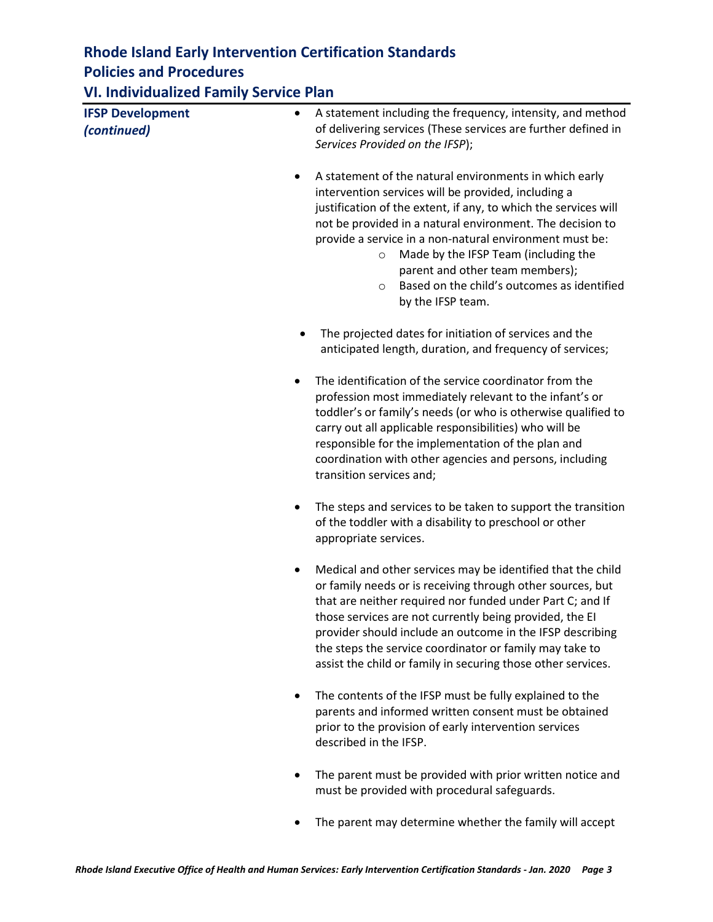**VI. Individualized Family Service Plan**

| <b>IFSP Development</b> | A statement including the frequency, intensity, and method<br>٠                                                                                                                                                                                                                                                                                                                                                                                                                    |
|-------------------------|------------------------------------------------------------------------------------------------------------------------------------------------------------------------------------------------------------------------------------------------------------------------------------------------------------------------------------------------------------------------------------------------------------------------------------------------------------------------------------|
| (continued)             | of delivering services (These services are further defined in<br>Services Provided on the IFSP);                                                                                                                                                                                                                                                                                                                                                                                   |
|                         | A statement of the natural environments in which early<br>٠<br>intervention services will be provided, including a<br>justification of the extent, if any, to which the services will<br>not be provided in a natural environment. The decision to<br>provide a service in a non-natural environment must be:<br>Made by the IFSP Team (including the<br>$\circ$<br>parent and other team members);<br>Based on the child's outcomes as identified<br>$\circ$<br>by the IFSP team. |
|                         | The projected dates for initiation of services and the<br>anticipated length, duration, and frequency of services;                                                                                                                                                                                                                                                                                                                                                                 |
|                         | The identification of the service coordinator from the<br>profession most immediately relevant to the infant's or<br>toddler's or family's needs (or who is otherwise qualified to<br>carry out all applicable responsibilities) who will be<br>responsible for the implementation of the plan and<br>coordination with other agencies and persons, including<br>transition services and;                                                                                          |
|                         | The steps and services to be taken to support the transition<br>of the toddler with a disability to preschool or other<br>appropriate services.                                                                                                                                                                                                                                                                                                                                    |
|                         | Medical and other services may be identified that the child<br>٠<br>or family needs or is receiving through other sources, but<br>that are neither required nor funded under Part C; and If<br>those services are not currently being provided, the EI<br>provider should include an outcome in the IFSP describing<br>the steps the service coordinator or family may take to<br>assist the child or family in securing those other services.                                     |
|                         | The contents of the IFSP must be fully explained to the<br>٠<br>parents and informed written consent must be obtained<br>prior to the provision of early intervention services<br>described in the IFSP.                                                                                                                                                                                                                                                                           |
|                         | The parent must be provided with prior written notice and<br>must be provided with procedural safeguards.                                                                                                                                                                                                                                                                                                                                                                          |

• The parent may determine whether the family will accept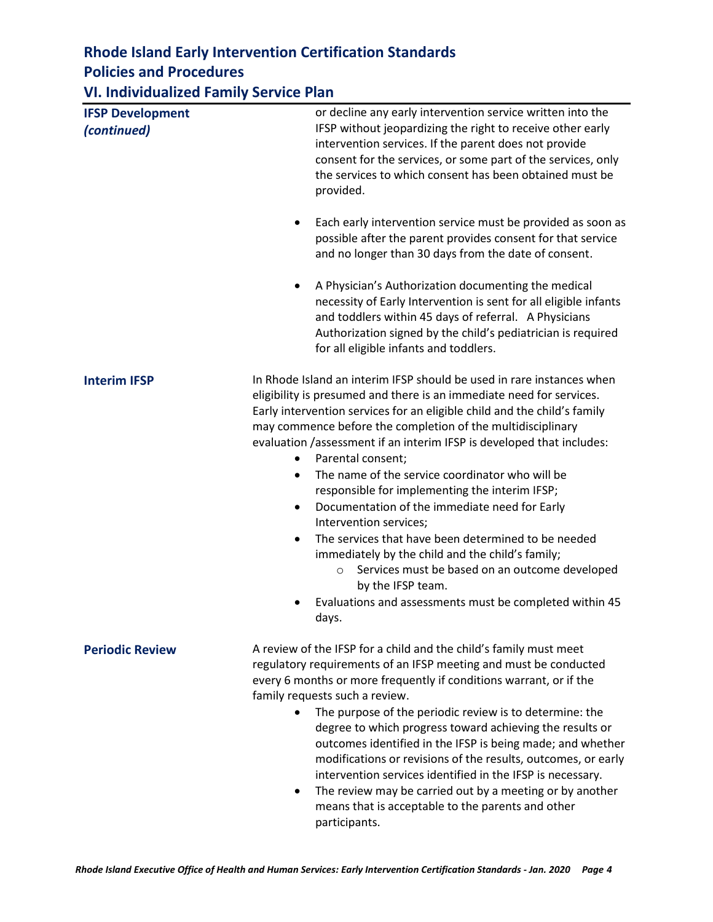**VI. Individualized Family Service Plan**

| <b>IFSP Development</b><br>(continued) | or decline any early intervention service written into the<br>IFSP without jeopardizing the right to receive other early<br>intervention services. If the parent does not provide<br>consent for the services, or some part of the services, only<br>the services to which consent has been obtained must be<br>provided.                                                                                                                                                                                                                                                                                                                                                                                                                                                                                                                                                                   |
|----------------------------------------|---------------------------------------------------------------------------------------------------------------------------------------------------------------------------------------------------------------------------------------------------------------------------------------------------------------------------------------------------------------------------------------------------------------------------------------------------------------------------------------------------------------------------------------------------------------------------------------------------------------------------------------------------------------------------------------------------------------------------------------------------------------------------------------------------------------------------------------------------------------------------------------------|
|                                        | Each early intervention service must be provided as soon as<br>$\bullet$<br>possible after the parent provides consent for that service<br>and no longer than 30 days from the date of consent.                                                                                                                                                                                                                                                                                                                                                                                                                                                                                                                                                                                                                                                                                             |
|                                        | A Physician's Authorization documenting the medical<br>$\bullet$<br>necessity of Early Intervention is sent for all eligible infants<br>and toddlers within 45 days of referral. A Physicians<br>Authorization signed by the child's pediatrician is required<br>for all eligible infants and toddlers.                                                                                                                                                                                                                                                                                                                                                                                                                                                                                                                                                                                     |
| <b>Interim IFSP</b>                    | In Rhode Island an interim IFSP should be used in rare instances when<br>eligibility is presumed and there is an immediate need for services.<br>Early intervention services for an eligible child and the child's family<br>may commence before the completion of the multidisciplinary<br>evaluation /assessment if an interim IFSP is developed that includes:<br>Parental consent;<br>$\bullet$<br>The name of the service coordinator who will be<br>$\bullet$<br>responsible for implementing the interim IFSP;<br>Documentation of the immediate need for Early<br>$\bullet$<br>Intervention services;<br>The services that have been determined to be needed<br>$\bullet$<br>immediately by the child and the child's family;<br>Services must be based on an outcome developed<br>$\circ$<br>by the IFSP team.<br>Evaluations and assessments must be completed within 45<br>days. |
| <b>Periodic Review</b>                 | A review of the IFSP for a child and the child's family must meet<br>regulatory requirements of an IFSP meeting and must be conducted<br>every 6 months or more frequently if conditions warrant, or if the<br>family requests such a review.<br>The purpose of the periodic review is to determine: the<br>degree to which progress toward achieving the results or<br>outcomes identified in the IFSP is being made; and whether<br>modifications or revisions of the results, outcomes, or early<br>intervention services identified in the IFSP is necessary.<br>The review may be carried out by a meeting or by another<br>$\bullet$<br>means that is acceptable to the parents and other<br>participants.                                                                                                                                                                            |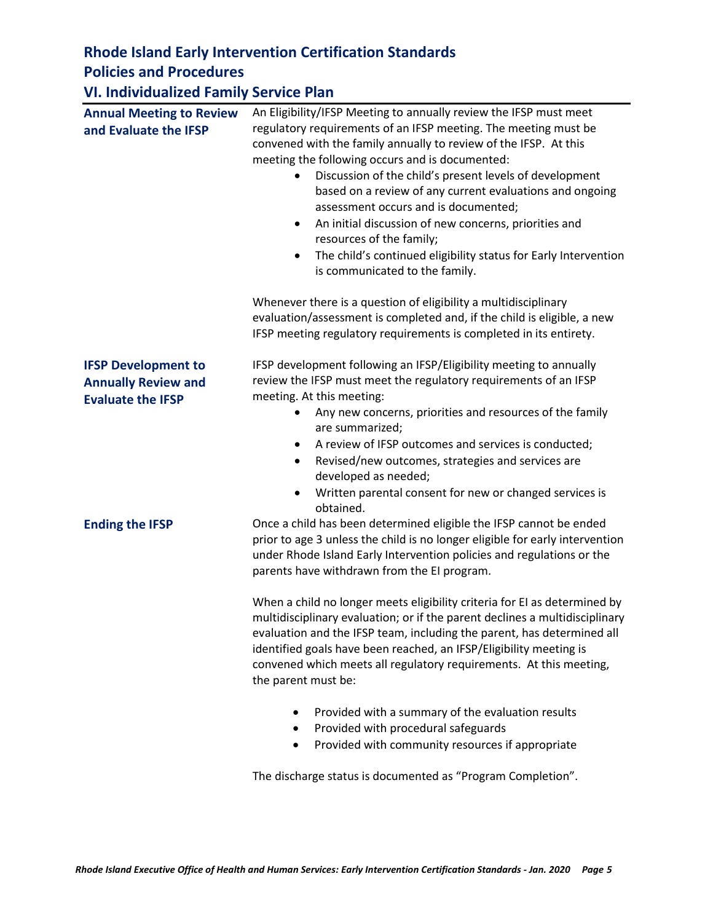#### **VI. Individualized Family Service Plan**

| <b>Annual Meeting to Review</b><br>and Evaluate the IFSP                             | An Eligibility/IFSP Meeting to annually review the IFSP must meet<br>regulatory requirements of an IFSP meeting. The meeting must be<br>convened with the family annually to review of the IFSP. At this<br>meeting the following occurs and is documented:<br>Discussion of the child's present levels of development<br>based on a review of any current evaluations and ongoing<br>assessment occurs and is documented;<br>An initial discussion of new concerns, priorities and<br>$\bullet$<br>resources of the family;<br>The child's continued eligibility status for Early Intervention<br>$\bullet$<br>is communicated to the family.                                                                                                                                  |
|--------------------------------------------------------------------------------------|---------------------------------------------------------------------------------------------------------------------------------------------------------------------------------------------------------------------------------------------------------------------------------------------------------------------------------------------------------------------------------------------------------------------------------------------------------------------------------------------------------------------------------------------------------------------------------------------------------------------------------------------------------------------------------------------------------------------------------------------------------------------------------|
|                                                                                      | Whenever there is a question of eligibility a multidisciplinary<br>evaluation/assessment is completed and, if the child is eligible, a new<br>IFSP meeting regulatory requirements is completed in its entirety.                                                                                                                                                                                                                                                                                                                                                                                                                                                                                                                                                                |
| <b>IFSP Development to</b><br><b>Annually Review and</b><br><b>Evaluate the IFSP</b> | IFSP development following an IFSP/Eligibility meeting to annually<br>review the IFSP must meet the regulatory requirements of an IFSP<br>meeting. At this meeting:<br>Any new concerns, priorities and resources of the family<br>are summarized;<br>A review of IFSP outcomes and services is conducted;<br>$\bullet$<br>Revised/new outcomes, strategies and services are<br>$\bullet$<br>developed as needed;<br>Written parental consent for new or changed services is<br>$\bullet$<br>obtained.                                                                                                                                                                                                                                                                          |
| <b>Ending the IFSP</b>                                                               | Once a child has been determined eligible the IFSP cannot be ended<br>prior to age 3 unless the child is no longer eligible for early intervention<br>under Rhode Island Early Intervention policies and regulations or the<br>parents have withdrawn from the EI program.<br>When a child no longer meets eligibility criteria for EI as determined by<br>multidisciplinary evaluation; or if the parent declines a multidisciplinary<br>evaluation and the IFSP team, including the parent, has determined all<br>identified goals have been reached, an IFSP/Eligibility meeting is<br>convened which meets all regulatory requirements. At this meeting,<br>the parent must be:<br>Provided with a summary of the evaluation results<br>Provided with procedural safeguards |
|                                                                                      | Provided with community resources if appropriate<br>$\bullet$<br>The discharge status is documented as "Program Completion".                                                                                                                                                                                                                                                                                                                                                                                                                                                                                                                                                                                                                                                    |